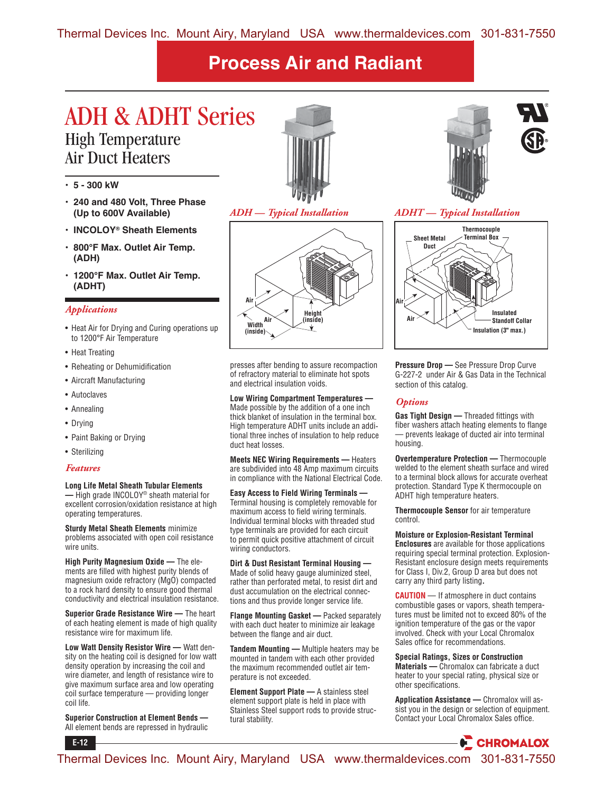### ADH & ADHT Series High Temperature Air Duct Heaters

- **5 300 kW**
- **240 and 480 Volt, Three Phase (Up to 600V Available)**
- **INCOLOY® Sheath Elements**
- **800°F Max. Outlet Air Temp. (ADH)**
- **1200°F Max. Outlet Air Temp. (ADHT)**

### *Applications*

- Heat Air for Drying and Curing operations up to 1200°F Air Temperature
- Heat Treating
- Reheating or Dehumidification
- Aircraft Manufacturing
- Autoclaves
- Annealing
- Drying
- Paint Baking or Drying
- Sterilizing

#### *Features*

**E-12**

#### **Long Life Metal Sheath Tubular Elements**

**—** High grade INCOLOY® sheath material for excellent corrosion/oxidation resistance at high operating temperatures.

**Sturdy Metal Sheath Elements** minimize problems associated with open coil resistance wire units.

**High Purity Magnesium Oxide —** The elements are filled with highest purity blends of magnesium oxide refractory (MgO) compacted to a rock hard density to ensure good thermal conductivity and electrical insulation resistance.

**Superior Grade Resistance Wire —** The heart of each heating element is made of high quality resistance wire for maximum life.

**Low Watt Density Resistor Wire —** Watt density on the heating coil is designed for low watt density operation by increasing the coil and wire diameter, and length of resistance wire to give maximum surface area and low operating coil surface temperature — providing longer coil life.

**Superior Construction at Element Bends —** All element bends are repressed in hydraulic



*ADH — Typical Installation*



presses after bending to assure recompaction of refractory material to eliminate hot spots and electrical insulation voids.

**Low Wiring Compartment Temperatures —** Made possible by the addition of a one inch thick blanket of insulation in the terminal box. High temperature ADHT units include an additional three inches of insulation to help reduce duct heat losses.

**Meets NEC Wiring Requirements —** Heaters are subdivided into 48 Amp maximum circuits in compliance with the National Electrical Code.

**Easy Access to Field Wiring Terminals —**  Terminal housing is completely removable for maximum access to field wiring terminals. Individual terminal blocks with threaded stud type terminals are provided for each circuit to permit quick positive attachment of circuit wiring conductors.

**Dirt & Dust Resistant Terminal Housing —** Made of solid heavy gauge aluminized steel, rather than perforated metal, to resist dirt and dust accumulation on the electrical connections and thus provide longer service life.

**Flange Mounting Gasket —** Packed separately with each duct heater to minimize air leakage between the flange and air duct.

**Tandem Mounting —** Multiple heaters may be mounted in tandem with each other provided the maximum recommended outlet air temperature is not exceeded.

**Element Support Plate —** A stainless steel element support plate is held in place with Stainless Steel support rods to provide structural stability.



### *ADHT — Typical Installation*



**Pressure Drop —** See Pressure Drop Curve G-227-2 under Air & Gas Data in the Technical section of this catalog.

### *Options*

**Gas Tight Design —** Threaded fittings with fiber washers attach heating elements to flange — prevents leakage of ducted air into terminal housing.

**Overtemperature Protection —** Thermocouple welded to the element sheath surface and wired to a terminal block allows for accurate overheat protection. Standard Type K thermocouple on ADHT high temperature heaters.

**Thermocouple Sensor** for air temperature control.

**Moisture or Explosion-Resistant Terminal Enclosures** are available for those applications requiring special terminal protection. Explosion-Resistant enclosure design meets requirements for Class I, Div.2, Group D area but does not carry any third party listing**.**

**CAUTION** — If atmosphere in duct contains combustible gases or vapors, sheath temperatures must be limited not to exceed 80% of the ignition temperature of the gas or the vapor involved. Check with your Local Chromalox Sales office for recommendations.

**Special Ratings, Sizes or Construction Materials —** Chromalox can fabricate a duct heater to your special rating, physical size or other specifications.

**Application Assistance —** Chromalox will assist you in the design or selection of equipment. Contact your Local Chromalox Sales office.



Thermal Devices Inc. Mount Airy, Maryland USA www.thermaldevices.com 301-831-7550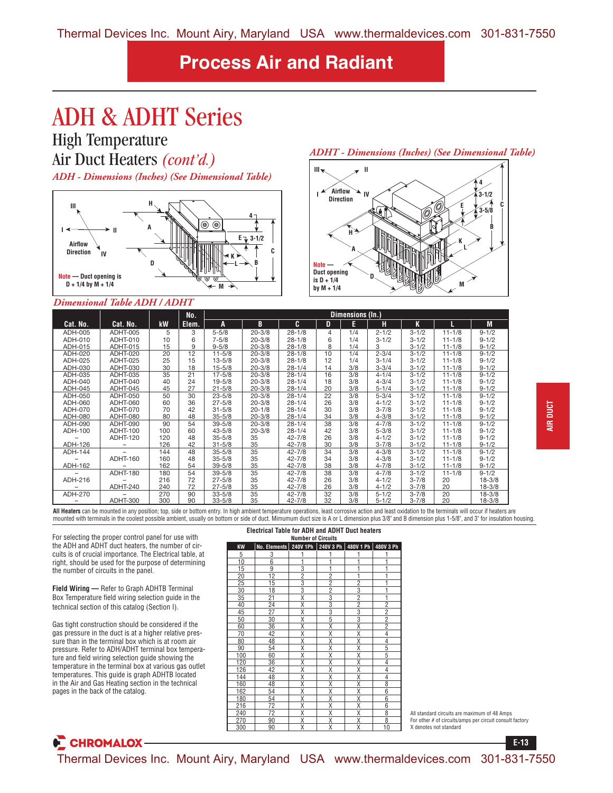# ADH & ADHT Series

High Temperature Air Duct Heaters *(cont'd.)*

*ADH - Dimensions (Inches) (See Dimensional Table)*



### *Dimensional Table ADH / ADHT*

#### **Cat. No. | Cat. No. | kW<br>ADH-005 | ADHT-005 | 5 No. Elem. Dimensions (In.) A B C DE H K L M** ADH-005 | ADHT-005 | 5 | 3 | 5-5/8 | 20-3/8 | 28-1/8 | 4 | 1/4 | 2-1/2 | 3-1/2 | 11-1/8 | 9-1/2 ADH-010 | ADHT-010 | 10 | 6 | 7-5/8 | 20-3/8 | 28-1/8 | 6 | 1/4 | 3-1/2 | 3-1/2 | 11-1/8 | 9-1/2 ADH-015 ADHT-015 15 9 9-5/8 20-3/8 28-1/8 8 1/4 3 3-1/2 11-1/8 9-1/2 ADH-020 ADHT-020 20 12 11-5/8 20-3/8 28-1/8 10 1/4 2-3/4 3-1/2 11-1/8 9-1/2 ADH-025 ADHT-025 25 15 13-5/8 20-3/8 28-1/8 12 1/4 3-1/4 3-1/2 11-1/8 9-1/2 ADH-030 ADHT-030 30 18 15-5/8 20-3/8 28-1/4 14 3/8 3-3/4 3-1/2 11-1/8 9-1/2 ADH-035 ADHT-035 35 21 17-5/8 20-3/8 28-1/4 16 3/8 4-1/4 3-1/2 11-1/8 9-1/2 ADH-040 ADHT-040 40 24 19-5/8 20-3/8 28-1/4 18 3/8 4-3/4 3-1/2 11-1/8 9-1/2 ADH-045 ADHT-045 45 27 21-5/8 20-3/8 28-1/4 20 3/8 5-1/4 3-1/2 11-1/8 9-1/2 ADH-050 ADHT-050 50 30 23-5/8 20-3/8 28-1/4 22 3/8 5-3/4 3-1/2 11-1/8 9-1/2 ADH-060 ADHT-060 60 36 27-5/8 20-3/8 28-1/4 26 3/8 4-1/2 3-1/2 11-1/8 9-1/2 ADH-070 ADHT-070 70 42 31-5/8 20-1/8 28-1/4 30 3/8 3-7/8 3-1/2 11-1/8 9-1/2 ADH-080 ADHT-080 80 48 35-5/8 20-3/8 28-1/4 34 3/8 4-3/8 3-1/2 11-1/8 9-1/2 ADH-090 ADHT-090 90 54 39-5/8 20-3/8 28-1/4 38 3/8 4-7/8 3-1/2 11-1/8 9-1/2 ADH-100 ADHT-100 100 60 43-5/8 20-3/8 28-1/4 42 3/8 5-3/8 3-1/2 11-1/8 9-1/2 – ADHT-120 120 48 35-5/8 35 42-7/8 26 3/8 4-1/2 3-1/2 11-1/8 9-1/2 ADH-126 – 126 42 31-5/8 35 42-7/8 30 3/8 3-7/8 3-1/2 11-1/8 9-1/2 ADH-144 – 144 48 35-5/8 35 42-7/8 34 3/8 4-3/8 3-1/2 11-1/8 9-1/2 – ADHT-160 160 48 35-5/8 35 42-7/8 34 3/8 4-3/8 3-1/2 11-1/8 9-1/2 ADH-162 – 162 54 39-5/8 35 42-7/8 38 3/8 4-7/8 3-1/2 11-1/8 9-1/2 – | ADHT-180 | 180 | 54 | 39-5/8 | 35 | 42-7/8 | 38 | 3/8 | 4-7/8 | 3-1/2 | 11-1/8 | 9-1/2 ADH-216 – 216 72 27-5/8 35 42-7/8 26 3/8 4-1/2 3-7/8 20 18-3/8 – ADHT-240 240 72 27-5/8 35 42-7/8 26 3/8 4-1/2 3-7/8 20 18-3/8 ADH-270 | – | 270 | 90 | 33-5/8 | 35 | 42-7/8 | 32 | 3/8 | 5-1/2 | 3-7/8 | 20 | 18-3/8 – ADHT-300 300 90 33-5/8 35 42-7/8 32 3/8 5-1/2 3-7/8 20 18-3/8

All Heaters can be mounted in any position; top, side or bottom entry. In high ambient temperature operations, least corrosive action and least oxidation to the terminals will occur if heaters are mounted with terminals in the coolest possible ambient, usually on bottom or side of duct. Mimumum duct size is A or L dimension plus 3/8" and B dimension plus 1-5/8", and 3" for insulation housing.

For selecting the proper control panel for use with the ADH and ADHT duct heaters, the number of circuits is of crucial importance. The Electrical table, at right, should be used for the purpose of determining the number of circuits in the panel.

**Field Wiring —** Refer to Graph ADHTB Terminal Box Temperature field wiring selection guide in the technical section of this catalog (Section I).

Gas tight construction should be considered if the gas pressure in the duct is at a higher relative pressure than in the terminal box which is at room air pressure. Refer to ADH/ADHT terminal box temperature and field wiring selection guide showing the temperature in the terminal box at various gas outlet temperatures. This guide is graph ADHTB located in the Air and Gas Heating section in the technical pages in the back of the catalog.

| <b>Electrical Table for ADH and ADHT Duct heaters</b><br><b>Number of Circuits</b> |                |                         |                |                         |                |  |  |  |  |  |
|------------------------------------------------------------------------------------|----------------|-------------------------|----------------|-------------------------|----------------|--|--|--|--|--|
| <b>KW</b>                                                                          | No. Elements   | 240V 1Ph                | 240V 3 Ph      | 480V 1 Ph 480V 3 Ph     |                |  |  |  |  |  |
| 5                                                                                  | 3              | 1                       | 1              |                         |                |  |  |  |  |  |
| 10                                                                                 | $\overline{6}$ | 1                       | 1              | 1                       |                |  |  |  |  |  |
| 15                                                                                 | 9              | 3                       | 1              | 1                       | 1              |  |  |  |  |  |
| 20                                                                                 | 12             | $\overline{2}$          | $\overline{2}$ | 1                       | 1              |  |  |  |  |  |
| 25                                                                                 | 15             | 3                       | $\overline{2}$ | $\overline{2}$          | 1              |  |  |  |  |  |
| 30                                                                                 | 18             | 3                       | $\overline{2}$ | 3                       | 1              |  |  |  |  |  |
| 35                                                                                 | 21             | $\overline{\mathsf{x}}$ | 3              | $\overline{2}$          | 1              |  |  |  |  |  |
| 40                                                                                 | 24             | Χ                       | 3              | $\overline{2}$          | $\overline{2}$ |  |  |  |  |  |
| 45                                                                                 | 27             | Χ                       | 3              | 3                       | $\overline{2}$ |  |  |  |  |  |
| 50                                                                                 | 30             | Χ                       | 5              | 3                       | $\overline{c}$ |  |  |  |  |  |
| 60                                                                                 | 36             | Χ                       | Χ              | Χ                       | $\overline{2}$ |  |  |  |  |  |
| 70                                                                                 | 42             | $\overline{\mathsf{x}}$ | Χ              | $\overline{\mathsf{x}}$ | $\overline{4}$ |  |  |  |  |  |
| 80                                                                                 | 48             | Χ                       | Χ              | Χ                       | 4              |  |  |  |  |  |
| 90                                                                                 | 54             | Χ                       | Χ              | Χ                       | 5              |  |  |  |  |  |
| 100                                                                                | 60             | X                       | Χ              | X                       | 5              |  |  |  |  |  |
| 120                                                                                | 36             | Χ                       | Χ              | Χ                       | 4              |  |  |  |  |  |
| 126                                                                                | 42             | χ                       | Χ              | Χ                       | 4              |  |  |  |  |  |
| 144                                                                                | 48             | Χ                       | Χ              | Χ                       | 4              |  |  |  |  |  |
| 160                                                                                | 48             | Χ                       | Χ              | Χ                       | 8              |  |  |  |  |  |
| 162                                                                                | 54             | X                       | X              | X                       | 6              |  |  |  |  |  |
| 180                                                                                | 54             | Χ                       | Χ              | Χ                       | 6              |  |  |  |  |  |
| 216                                                                                | 72             | χ                       | Χ              | Χ                       | 6              |  |  |  |  |  |
| 240                                                                                | 72             | Χ                       | Χ              | Χ                       | 8              |  |  |  |  |  |
| 270                                                                                | 90             | χ                       | Χ              | Χ                       | 8              |  |  |  |  |  |
| 300                                                                                | 90             | Χ                       | Χ              | Χ                       | 10             |  |  |  |  |  |

### *ADHT - Dimensions (Inches) (See Dimensional Table)*



All standard circuits are maximum of 48 Amps For other # of circuits/amps per circuit consult factory X denotes not standard

**E-13**

**E** CHROMALOX

Thermal Devices Inc. Mount Airy, Maryland USA www.thermaldevices.com 301-831-7550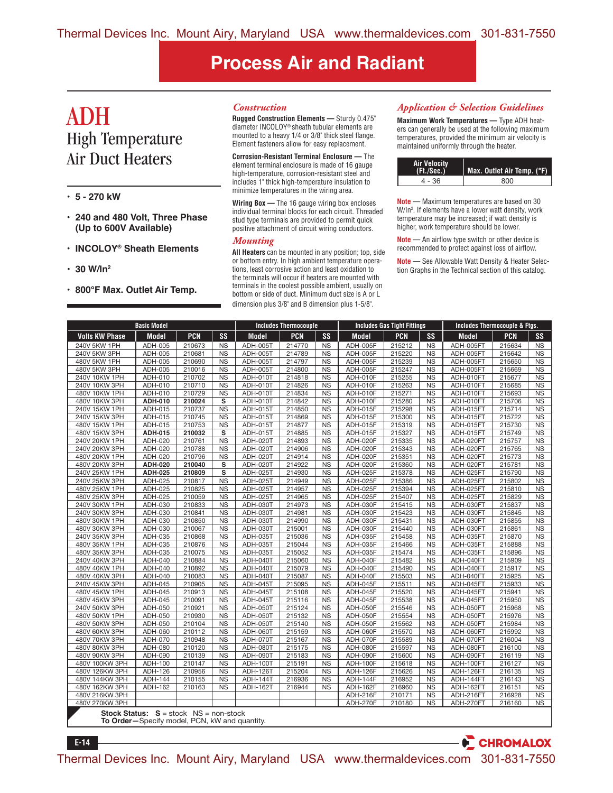### ADH High Temperature Air Duct Heaters

- **5 270 kW**
- **240 and 480 Volt, Three Phase (Up to 600V Available)**
- **INCOLOY® Sheath Elements**
- **30 W/In2**

**• 800°F Max. Outlet Air Temp.**

#### *Construction*

**Rugged Construction Elements —** Sturdy 0.475" diameter INCOLOY® sheath tubular elements are mounted to a heavy 1/4 or 3/8" thick steel flange. Element fasteners allow for easy replacement.

**Corrosion-Resistant Terminal Enclosure —** The element terminal enclosure is made of 16 gauge high-temperature, corrosion-resistant steel and includes 1" thick high-temperature insulation to minimize temperatures in the wiring area.

**Wiring Box —** The 16 gauge wiring box encloses individual terminal blocks for each circuit. Threaded stud type terminals are provided to permit quick positive attachment of circuit wiring conductors.

#### *Mounting*

**All Heaters** can be mounted in any position; top, side or bottom entry. In high ambient temperature operations, least corrosive action and least oxidation to the terminals will occur if heaters are mounted with terminals in the coolest possible ambient, usually on bottom or side of duct. Minimum duct size is A or L dimension plus 3/8" and B dimension plus 1-5/8".

#### *Application & Selection Guidelines*

**Maximum Work Temperatures —** Type ADH heaters can generally be used at the following maximum temperatures, provided the minimum air velocity is maintained uniformly through the heater.

| <b>Air Velocity</b><br>(Ft./Sec.) | Max. Outlet Air Temp. (°F). |
|-----------------------------------|-----------------------------|
| 4 - 36                            | RNN                         |

**Note** — Maximum temperatures are based on 30 W/In2 . If elements have a lower watt density, work temperature may be increased; if watt density is higher, work temperature should be lower.

**Note** — An airflow type switch or other device is recommended to protect against loss of airflow.

**Note** — See Allowable Watt Density & Heater Selection Graphs in the Technical section of this catalog.

|                       | <b>Basic Model</b>                                                                                 |            |           |                 | <b>Includes Thermocouple</b> |           |                 | <b>Includes Gas Tight Fittings</b> |           | Includes Thermocouple & Ftgs. |            |                |
|-----------------------|----------------------------------------------------------------------------------------------------|------------|-----------|-----------------|------------------------------|-----------|-----------------|------------------------------------|-----------|-------------------------------|------------|----------------|
| <b>Volts KW Phase</b> | Model                                                                                              | <b>PCN</b> | <b>SS</b> | Model           | <b>PCN</b>                   | <b>SS</b> | Model           | <b>PCN</b>                         | <b>SS</b> | Model                         | <b>PCN</b> | SS             |
| 240V 5KW 1PH          | ADH-005                                                                                            | 210673     | <b>NS</b> | <b>ADH-005T</b> | 214770                       | <b>NS</b> | ADH-005F        | 215212                             | <b>NS</b> | ADH-005FT                     | 215634     | <b>NS</b>      |
| 240V 5KW 3PH          | ADH-005                                                                                            | 210681     | <b>NS</b> | ADH-005T        | 214789                       | <b>NS</b> | ADH-005F        | 215220                             | <b>NS</b> | ADH-005FT                     | 215642     | <b>NS</b>      |
| 480V 5KW 1PH          | ADH-005                                                                                            | 210690     | <b>NS</b> | <b>ADH-005T</b> | 214797                       | <b>NS</b> | ADH-005F        | 215239                             | <b>NS</b> | ADH-005FT                     | 215650     | <b>NS</b>      |
| 480V 5KW 3PH          | ADH-005                                                                                            | 210016     | <b>NS</b> | <b>ADH-005T</b> | 214800                       | <b>NS</b> | <b>ADH-005F</b> | 215247                             | <b>NS</b> | ADH-005FT                     | 215669     | <b>NS</b>      |
| 240V 10KW 1PH         | ADH-010                                                                                            | 210702     | <b>NS</b> | ADH-010T        | 214818                       | <b>NS</b> | ADH-010F        | 215255                             | <b>NS</b> | ADH-010FT                     | 215677     | <b>NS</b>      |
| 240V 10KW 3PH         | ADH-010                                                                                            | 210710     | <b>NS</b> | <b>ADH-010T</b> | 214826                       | <b>NS</b> | ADH-010F        | 215263                             | <b>NS</b> | ADH-010FT                     | 215685     | <b>NS</b>      |
| 480V 10KW 1PH         | ADH-010                                                                                            | 210729     | <b>NS</b> | <b>ADH-010T</b> | 214834                       | <b>NS</b> | ADH-010F        | 215271                             | <b>NS</b> | ADH-010FT                     | 215693     | <b>NS</b>      |
| 480V 10KW 3PH         | <b>ADH-010</b>                                                                                     | 210024     | s         | <b>ADH-010T</b> | 214842                       | <b>NS</b> | ADH-010F        | 215280                             | <b>NS</b> | ADH-010FT                     | 215706     | <b>NS</b>      |
| 240V 15KW 1PH         | ADH-015                                                                                            | 210737     | <b>NS</b> | <b>ADH-015T</b> | 214850                       | <b>NS</b> | ADH-015F        | 215298                             | <b>NS</b> | ADH-015FT                     | 215714     | <b>NS</b>      |
| 240V 15KW 3PH         | ADH-015                                                                                            | 210745     | <b>NS</b> | <b>ADH-015T</b> | 214869                       | <b>NS</b> | ADH-015F        | 215300                             | <b>NS</b> | ADH-015FT                     | 215722     | <b>NS</b>      |
| 480V 15KW 1PH         | ADH-015                                                                                            | 210753     | <b>NS</b> | <b>ADH-015T</b> | 214877                       | <b>NS</b> | ADH-015F        | 215319                             | <b>NS</b> | ADH-015FT                     | 215730     | <b>NS</b>      |
| 480V 15KW 3PH         | <b>ADH-015</b>                                                                                     | 210032     | s         | <b>ADH-015T</b> | 214885                       | <b>NS</b> | ADH-015F        | 215327                             | <b>NS</b> | ADH-015FT                     | 215749     | <b>NS</b>      |
| 240V 20KW 1PH         | ADH-020                                                                                            | 210761     | <b>NS</b> | ADH-020T        | 214893                       | <b>NS</b> | ADH-020F        | 215335                             | <b>NS</b> | ADH-020FT                     | 215757     | <b>NS</b>      |
| 240V 20KW 3PH         | ADH-020                                                                                            | 210788     | <b>NS</b> | ADH-020T        | 214906                       | <b>NS</b> | ADH-020F        | 215343                             | <b>NS</b> | ADH-020FT                     | 215765     | <b>NS</b>      |
| 480V 20KW 1PH         | ADH-020                                                                                            | 210796     | <b>NS</b> | ADH-020T        | 214914                       | <b>NS</b> | ADH-020F        | 215351                             | <b>NS</b> | ADH-020FT                     | 215773     | N <sub>S</sub> |
| 480V 20KW 3PH         | <b>ADH-020</b>                                                                                     | 210040     | s         | <b>ADH-020T</b> | 214922                       | <b>NS</b> | ADH-020F        | 215360                             | <b>NS</b> | ADH-020FT                     | 215781     | <b>NS</b>      |
| 240V 25KW 1PH         | <b>ADH-025</b>                                                                                     | 210809     | s         | ADH-025T        | 214930                       | <b>NS</b> | ADH-025F        | 215378                             | <b>NS</b> | ADH-025FT                     | 215790     | <b>NS</b>      |
| 240V 25KW 3PH         | <b>ADH-025</b>                                                                                     | 210817     | <b>NS</b> | <b>ADH-025T</b> | 214949                       | <b>NS</b> | ADH-025F        | 215386                             | <b>NS</b> | ADH-025FT                     | 215802     | <b>NS</b>      |
| 480V 25KW 1PH         | ADH-025                                                                                            | 210825     | <b>NS</b> | <b>ADH-025T</b> | 214957                       | <b>NS</b> | ADH-025F        | 215394                             | <b>NS</b> | ADH-025FT                     | 215810     | <b>NS</b>      |
| 480V 25KW 3PH         | ADH-025                                                                                            | 210059     | <b>NS</b> | <b>ADH-025T</b> | 214965                       | <b>NS</b> | ADH-025F        | 215407                             | <b>NS</b> | ADH-025FT                     | 215829     | <b>NS</b>      |
| 240V 30KW 1PH         | ADH-030                                                                                            | 210833     | <b>NS</b> | <b>ADH-030T</b> | 214973                       | <b>NS</b> | ADH-030F        | 215415                             | <b>NS</b> | ADH-030FT                     | 215837     | <b>NS</b>      |
| 240V 30KW 3PH         | ADH-030                                                                                            | 210841     | <b>NS</b> | <b>ADH-030T</b> | 214981                       | <b>NS</b> | ADH-030F        | 215423                             | <b>NS</b> | ADH-030FT                     | 215845     | <b>NS</b>      |
| 480V 30KW 1PH         | ADH-030                                                                                            | 210850     | <b>NS</b> | <b>ADH-030T</b> | 214990                       | <b>NS</b> | ADH-030F        | 215431                             | <b>NS</b> | ADH-030FT                     | 215855     | <b>NS</b>      |
| 480V 30KW 3PH         | ADH-030                                                                                            | 210067     | <b>NS</b> | ADH-030T        | 215001                       | <b>NS</b> | ADH-030F        | 215440                             | <b>NS</b> | ADH-030FT                     | 215861     | <b>NS</b>      |
| 240V 35KW 3PH         | ADH-035                                                                                            | 210868     | <b>NS</b> | ADH-035T        | 215036                       | <b>NS</b> | <b>ADH-035F</b> | 215458                             | <b>NS</b> | ADH-035FT                     | 215870     | <b>NS</b>      |
| 480V 35KW 1PH         | ADH-035                                                                                            | 210876     | <b>NS</b> | <b>ADH-035T</b> | 215044                       | <b>NS</b> | ADH-035F        | 215466                             | <b>NS</b> | ADH-035FT                     | 215888     | NS             |
| 480V 35KW 3PH         | ADH-035                                                                                            | 210075     | <b>NS</b> | <b>ADH-035T</b> | 215052                       | <b>NS</b> | ADH-035F        | 215474                             | <b>NS</b> | ADH-035FT                     | 215896     | <b>NS</b>      |
| 240V 40KW 3PH         | ADH-040                                                                                            | 210884     | <b>NS</b> | ADH-040T        | 215060                       | <b>NS</b> | ADH-040F        | 215482                             | <b>NS</b> | ADH-040FT                     | 215909     | <b>NS</b>      |
| 480V 40KW 1PH         | ADH-040                                                                                            | 210892     | <b>NS</b> | ADH-040T        | 215079                       | <b>NS</b> | ADH-040F        | 215490                             | <b>NS</b> | ADH-040FT                     | 215917     | <b>NS</b>      |
| 480V 40KW 3PH         | ADH-040                                                                                            | 210083     | <b>NS</b> | ADH-040T        | 215087                       | <b>NS</b> | ADH-040F        | 215503                             | <b>NS</b> | ADH-040FT                     | 215925     | <b>NS</b>      |
| 240V 45KW 3PH         | ADH-045                                                                                            | 210905     | <b>NS</b> | ADH-045T        | 215095                       | <b>NS</b> | ADH-045F        | 215511                             | <b>NS</b> | ADH-045FT                     | 215933     | <b>NS</b>      |
| 480V 45KW 1PH         | ADH-045                                                                                            | 210913     | <b>NS</b> | ADH-045T        | 215108                       | <b>NS</b> | ADH-045F        | 215520                             | <b>NS</b> | ADH-045FT                     | 215941     | <b>NS</b>      |
| 480V 45KW 3PH         | ADH-045                                                                                            | 210091     | <b>NS</b> | ADH-045T        | 215116                       | <b>NS</b> | ADH-045F        | 215538                             | <b>NS</b> | ADH-045FT                     | 215950     | <b>NS</b>      |
| 240V 50KW 3PH         | ADH-050                                                                                            | 210921     | <b>NS</b> | ADH-050T        | 215124                       | <b>NS</b> | ADH-050F        | 215546                             | <b>NS</b> | ADH-050FT                     | 215968     | <b>NS</b>      |
| 480V 50KW 1PH         | ADH-050                                                                                            | 210930     | <b>NS</b> | ADH-050T        | 215132                       | <b>NS</b> | ADH-050F        | 215554                             | <b>NS</b> | ADH-050FT                     | 215976     | <b>NS</b>      |
| 480V 50KW 3PH         | ADH-050                                                                                            | 210104     | <b>NS</b> | ADH-050T        | 215140                       | <b>NS</b> | ADH-050F        | 215562                             | <b>NS</b> | ADH-050FT                     | 215984     | N <sub>S</sub> |
| 480V 60KW 3PH         | ADH-060                                                                                            | 210112     | <b>NS</b> | ADH-060T        | 215159                       | <b>NS</b> | ADH-060F        | 215570                             | <b>NS</b> | ADH-060FT                     | 215992     | <b>NS</b>      |
| 480V 70KW 3PH         | ADH-070                                                                                            | 210948     | <b>NS</b> | <b>ADH-070T</b> | 215167                       | <b>NS</b> | ADH-070F        | 215589                             | <b>NS</b> | ADH-070FT                     | 216004     | <b>NS</b>      |
| 480V 80KW 3PH         | ADH-080                                                                                            | 210120     | <b>NS</b> | ADH-080T        | 215175                       | <b>NS</b> | ADH-080F        | 215597                             | <b>NS</b> | ADH-080FT                     | 216100     | <b>NS</b>      |
| 480V 90KW 3PH         | ADH-090                                                                                            | 210139     | <b>NS</b> | ADH-090T        | 215183                       | <b>NS</b> | ADH-090F        | 215600                             | <b>NS</b> | ADH-090FT                     | 216119     | <b>NS</b>      |
| 480V 100KW 3PH        | ADH-100                                                                                            | 210147     | <b>NS</b> | ADH-100T        | 215191                       | <b>NS</b> | ADH-100F        | 215618                             | <b>NS</b> | ADH-100FT                     | 216127     | <b>NS</b>      |
| 480V 126KW 3PH        | ADH-126                                                                                            | 210956     | <b>NS</b> | <b>ADH-126T</b> | 215204                       | <b>NS</b> | ADH-126F        | 215626                             | <b>NS</b> | ADH-126FT                     | 216135     | <b>NS</b>      |
| 480V 144KW 3PH        | ADH-144                                                                                            | 210155     | <b>NS</b> | ADH-144T        | 216936                       | <b>NS</b> | ADH-144F        | 216952                             | <b>NS</b> | ADH-144FT                     | 216143     | <b>NS</b>      |
| 480V 162KW 3PH        | ADH-162                                                                                            | 210163     | <b>NS</b> | <b>ADH-162T</b> | 216944                       | <b>NS</b> | ADH-162F        | 216960                             | <b>NS</b> | ADH-162FT                     | 216151     | <b>NS</b>      |
| 480V 216KW 3PH        |                                                                                                    |            |           |                 |                              |           | ADH-216F        | 210171                             | <b>NS</b> | ADH-216FT                     | 216928     | <b>NS</b>      |
| 480V 270KW 3PH        |                                                                                                    |            |           |                 |                              |           | ADH-270F        | 210180                             | <b>NS</b> | ADH-270FT                     | 216160     | <b>NS</b>      |
|                       | <b>Stock Status:</b> $S = stock \tNS = non-stock$<br>To Order-Specify model, PCN, kW and quantity. |            |           |                 |                              |           |                 |                                    |           |                               |            |                |
| $E-14$                |                                                                                                    |            |           |                 |                              |           |                 |                                    |           |                               | CHROMALOX  |                |

Thermal Devices Inc. Mount Airy, Maryland USA www.thermaldevices.com 301-831-7550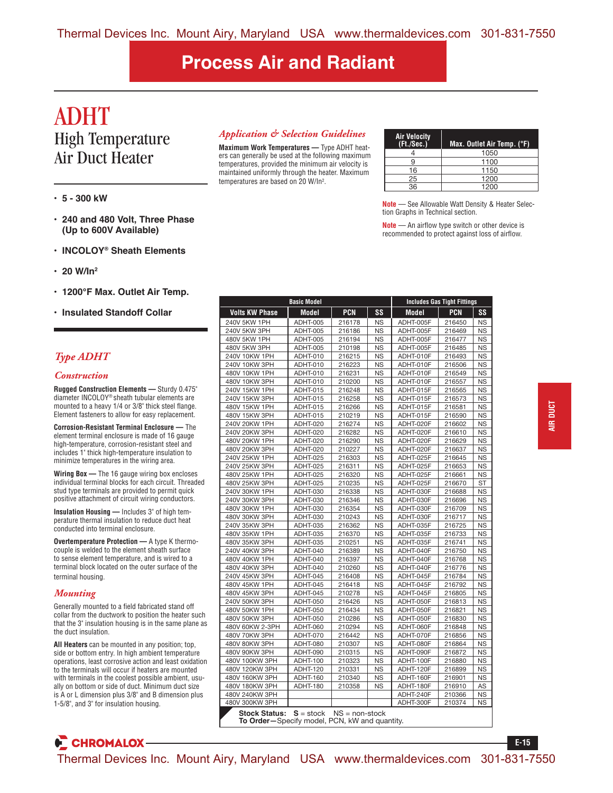### ADHT High Temperature Air Duct Heater

- **5 300 kW**
- **240 and 480 Volt, Three Phase (Up to 600V Available)**
- **INCOLOY® Sheath Elements**
- **20 W/In2**
- **1200°F Max. Outlet Air Temp.**
- **Insulated Standoff Collar**

### *Type ADHT*

#### *Construction*

**Rugged Construction Elements —** Sturdy 0.475" diameter INCOLOY® sheath tubular elements are mounted to a heavy 1/4 or 3/8" thick steel flange. Element fasteners to allow for easy replacement.

**Corrosion-Resistant Terminal Enclosure —** The element terminal enclosure is made of 16 gauge high-temperature, corrosion-resistant steel and includes 1" thick high-temperature insulation to minimize temperatures in the wiring area.

**Wiring Box —** The 16 gauge wiring box encloses individual terminal blocks for each circuit. Threaded stud type terminals are provided to permit quick positive attachment of circuit wiring conductors.

**Insulation Housing —** Includes 3" of high temperature thermal insulation to reduce duct heat conducted into terminal enclosure.

**Overtemperature Protection —** A type K thermocouple is welded to the element sheath surface to sense element temperature, and is wired to a terminal block located on the outer surface of the terminal housing.

#### *Mounting*

Generally mounted to a field fabricated stand off collar from the ductwork to position the heater such that the 3" insulation housing is in the same plane as the duct insulation.

**All Heaters** can be mounted in any position; top, side or bottom entry. In high ambient temperature operations, least corrosive action and least oxidation to the terminals will occur if heaters are mounted with terminals in the coolest possible ambient, usually on bottom or side of duct. Minimum duct size is A or L dimension plus 3/8" and B dimension plus 1-5/8", and 3" for insulation housing.

**CHROMALOX** 

### *Application & Selection Guidelines*

**Maximum Work Temperatures —** Type ADHT heaters can generally be used at the following maximum temperatures, provided the minimum air velocity is maintained uniformly through the heater. Maximum temperatures are based on 20 W/In2 .

| <b>Air Velocity</b><br>(Ft./Sec.) | Max. Outlet Air Temp. (°F) |
|-----------------------------------|----------------------------|
|                                   | 1050                       |
|                                   | 1100                       |
| 16                                | 1150                       |
| 25                                | 1200                       |
| 36                                | 1200                       |

**Note** — See Allowable Watt Density & Heater Selection Graphs in Technical section.

**Note** — An airflow type switch or other device is recommended to protect against loss of airflow.

|                                                                       | <b>Basic Model</b> |                  |           |           | <b>Includes Gas Tight Fittings</b> |           |  |
|-----------------------------------------------------------------------|--------------------|------------------|-----------|-----------|------------------------------------|-----------|--|
| <b>Volts KW Phase</b>                                                 | Model              | PCN              | SS        | Model     | PCN                                | SS        |  |
| 240V 5KW 1PH                                                          | ADHT-005           | 216178           | <b>NS</b> | ADHT-005F | 216450                             | <b>NS</b> |  |
| 240V 5KW 3PH                                                          | ADHT-005           | 216186           | <b>NS</b> | ADHT-005F | 216469                             | <b>NS</b> |  |
| 480V 5KW 1PH                                                          | ADHT-005           | 216194           | <b>NS</b> | ADHT-005F | 216477                             | <b>NS</b> |  |
| 480V 5KW 3PH                                                          | ADHT-005           | 210198           | <b>NS</b> | ADHT-005F | 216485                             | <b>NS</b> |  |
| 240V 10KW 1PH                                                         | ADHT-010           | 216215           | <b>NS</b> | ADHT-010F | 216493                             | <b>NS</b> |  |
| 240V 10KW 3PH                                                         | ADHT-010           | 216223           | <b>NS</b> | ADHT-010F | 216506                             | <b>NS</b> |  |
| 480V 10KW 1PH                                                         | ADHT-010           | 216231           | <b>NS</b> | ADHT-010F | 216549                             | <b>NS</b> |  |
| 480V 10KW 3PH                                                         | ADHT-010           | 210200           | ΝS        | ADHT-010F | 216557                             | <b>NS</b> |  |
| 240V 15KW 1PH                                                         | ADHT-015           | 216248           | <b>NS</b> | ADHT-015F | 216565                             | <b>NS</b> |  |
| 240V 15KW 3PH                                                         | ADHT-015           | 216258           | <b>NS</b> | ADHT-015F | 216573                             | <b>NS</b> |  |
| 480V 15KW 1PH                                                         | ADHT-015           | 216266           | <b>NS</b> | ADHT-015F | 216581                             | <b>NS</b> |  |
| 480V 15KW 3PH                                                         | ADHT-015           | 210219           | <b>NS</b> | ADHT-015F | 216590                             | <b>NS</b> |  |
| 240V 20KW 1PH                                                         | ADHT-020           | 216274           | ΝS        | ADHT-020F | 216602                             | <b>NS</b> |  |
| 240V 20KW 3PH                                                         | ADHT-020           | 216282           | <b>NS</b> | ADHT-020F | 216610                             | <b>NS</b> |  |
| 480V 20KW 1PH                                                         | ADHT-020           | 216290           | <b>NS</b> | ADHT-020F | 216629                             | <b>NS</b> |  |
| 480V 20KW 3PH                                                         | ADHT-020           | 210227           | <b>NS</b> | ADHT-020F | 216637                             | <b>NS</b> |  |
| 240V 25KW 1PH                                                         | ADHT-025           | 216303           | <b>NS</b> | ADHT-025F | 216645                             | <b>NS</b> |  |
| 240V 25KW 3PH                                                         | ADHT-025           | 216311           | <b>NS</b> | ADHT-025F | 216653                             | <b>NS</b> |  |
| 480V 25KW 1PH                                                         | ADHT-025           | 216320           | <b>NS</b> | ADHT-025F | 216661                             | <b>NS</b> |  |
| 480V 25KW 3PH                                                         | ADHT-025           | 210235           | <b>NS</b> | ADHT-025F | 216670                             | ST        |  |
| 240V 30KW 1PH                                                         | ADHT-030           | 216338           | <b>NS</b> | ADHT-030F | 216688                             | <b>NS</b> |  |
| 240V 30KW 3PH                                                         | ADHT-030           | 216346           | <b>NS</b> | ADHT-030F | 216696                             | <b>NS</b> |  |
| 480V 30KW 1PH                                                         | <b>ADHT-030</b>    | 216354           | <b>NS</b> | ADHT-030F | 216709                             | <b>NS</b> |  |
| 480V 30KW 3PH                                                         | ADHT-030           | 210243           | <b>NS</b> | ADHT-030F | 216717                             | <b>NS</b> |  |
| 240V 35KW 3PH                                                         | ADHT-035           | 216362           | <b>NS</b> | ADHT-035F | 216725                             | <b>NS</b> |  |
| 480V 35KW 1PH                                                         | ADHT-035           | 216370           | <b>NS</b> | ADHT-035F | 216733                             | <b>NS</b> |  |
| 480V 35KW 3PH                                                         | ADHT-035           | 210251           | <b>NS</b> | ADHT-035F | 216741                             | <b>NS</b> |  |
| 240V 40KW 3PH                                                         | ADHT-040           | 216389           | <b>NS</b> | ADHT-040F | 216750                             | <b>NS</b> |  |
| 480V 40KW 1PH                                                         | ADHT-040           | 216397           | <b>NS</b> | ADHT-040F | 216768                             | <b>NS</b> |  |
| 480V 40KW 3PH                                                         | ADHT-040           | 210260           | <b>NS</b> | ADHT-040F | 216776                             | <b>NS</b> |  |
| 240V 45KW 3PH                                                         | ADHT-045           | 216408           | <b>NS</b> | ADHT-045F | 216784                             | <b>NS</b> |  |
| 480V 45KW 1PH                                                         | ADHT-045           | 216418           | <b>NS</b> | ADHT-045F | 216792                             | <b>NS</b> |  |
| 480V 45KW 3PH                                                         | ADHT-045           | 210278           | <b>NS</b> | ADHT-045F | 216805                             | <b>NS</b> |  |
| 240V 50KW 3PH                                                         | ADHT-050           | 216426           | <b>NS</b> | ADHT-050F | 216813                             | <b>NS</b> |  |
| 480V 50KW 1PH                                                         | ADHT-050           | 216434           | <b>NS</b> | ADHT-050F | 216821                             | <b>NS</b> |  |
| 480V 50KW 3PH                                                         | ADHT-050           | 210286           | <b>NS</b> | ADHT-050F | 216830                             | <b>NS</b> |  |
| 480V 60KW 2-3PH                                                       | ADHT-060           | 210294           | <b>NS</b> | ADHT-060F | 216848                             | <b>NS</b> |  |
| 480V 70KW 3PH                                                         | ADHT-070           | 216442           | <b>NS</b> | ADHT-070F | 216856                             | <b>NS</b> |  |
| 480V 80KW 3PH                                                         | ADHT-080           | 210307           | <b>NS</b> | ADHT-080F | 216864                             | <b>NS</b> |  |
| 480V 90KW 3PH                                                         | ADHT-090           | 210315           | <b>NS</b> | ADHT-090F | 216872                             | <b>NS</b> |  |
| 480V 100KW 3PH                                                        | <b>ADHT-100</b>    | 210323           | <b>NS</b> | ADHT-100F | 216880                             | <b>NS</b> |  |
| 480V 120KW 3PH                                                        | ADHT-120           | 210331           | <b>NS</b> | ADHT-120F | 216899                             | <b>NS</b> |  |
| 480V 160KW 3PH                                                        | ADHT-160           | 210340           | <b>NS</b> | ADHT-160F | 216901                             | <b>NS</b> |  |
| 480V 180KW 3PH                                                        | ADHT-180           | 210358           | <b>NS</b> | ADHT-180F | 216910                             | AS        |  |
| 480V 240KW 3PH                                                        |                    |                  |           | ADHT-240F | 210366                             | <b>NS</b> |  |
| 480V 300KW 3PH                                                        |                    |                  |           | ADHT-300F | 210374                             | <b>NS</b> |  |
|                                                                       |                    |                  |           |           |                                    |           |  |
| <b>Stock Status:</b><br>To Order-Specify model, PCN, kW and quantity. | $S = stock$        | $NS = non-stock$ |           |           |                                    |           |  |

**E-15**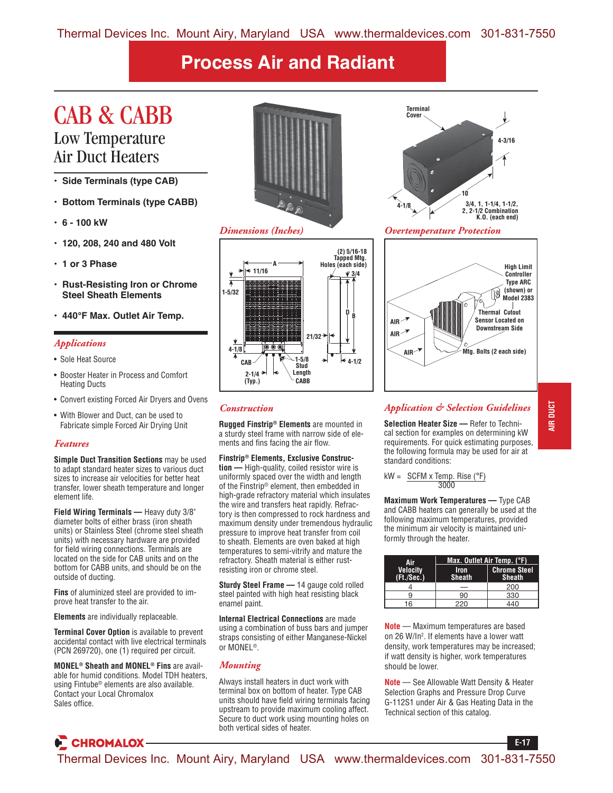### CAB & CABB Low Temperature

# Air Duct Heaters

- **Side Terminals (type CAB)**
- **Bottom Terminals (type CABB)**
- **6 100 kW**
- **120, 208, 240 and 480 Volt**
- **1 or 3 Phase**
- **Rust-Resisting Iron or Chrome Steel Sheath Elements**
- **440°F Max. Outlet Air Temp.**

### *Applications*

- Sole Heat Source
- Booster Heater in Process and Comfort Heating Ducts
- Convert existing Forced Air Dryers and Ovens
- With Blower and Duct, can be used to Fabricate simple Forced Air Drying Unit

### *Features*

**Simple Duct Transition Sections** may be used to adapt standard heater sizes to various duct sizes to increase air velocities for better heat transfer, lower sheath temperature and longer element life.

**Field Wiring Terminals —** Heavy duty 3/8" diameter bolts of either brass (iron sheath units) or Stainless Steel (chrome steel sheath units) with necessary hardware are provided for field wiring connections. Terminals are located on the side for CAB units and on the bottom for CABB units, and should be on the outside of ducting.

**Fins** of aluminized steel are provided to improve heat transfer to the air.

**Elements** are individually replaceable.

**CHROMALOX-**

**Terminal Cover Option** is available to prevent accidental contact with live electrical terminals (PCN 269720), one (1) required per circuit.

**MONEL® Sheath and MONEL® Fins** are available for humid conditions. Model TDH heaters, using Fintube® elements are also available. Contact your Local Chromalox Sales office.







### **4-3/16 10 4-1/8 Terminal Cover 3/4, 1, 1-1/4, 1-1/2, 2, 2-1/2 Combination K.O. (each end)**

*Dimensions (Inches) Overtemperature Protection*



### *Construction*

**Rugged Finstrip® Elements** are mounted in a sturdy steel frame with narrow side of elements and fins facing the air flow.

#### **Finstrip® Elements, Exclusive Construc-**

**tion —** High-quality, coiled resistor wire is uniformly spaced over the width and length of the Finstrip® element, then embedded in high-grade refractory material which insulates the wire and transfers heat rapidly. Refractory is then compressed to rock hardness and maximum density under tremendous hydraulic pressure to improve heat transfer from coil to sheath. Elements are oven baked at high temperatures to semi-vitrify and mature the refractory. Sheath material is either rustresisting iron or chrome steel.

**Sturdy Steel Frame —** 14 gauge cold rolled steel painted with high heat resisting black enamel paint.

**Internal Electrical Connections** are made using a combination of buss bars and jumper straps consisting of either Manganese-Nickel or MONEL®.

### *Mounting*

Always install heaters in duct work with terminal box on bottom of heater. Type CAB units should have field wiring terminals facing upstream to provide maximum cooling affect. Secure to duct work using mounting holes on both vertical sides of heater.

**Selection Heater Size —** Refer to Technical section for examples on determining kW requirements. For quick estimating purposes, the following formula may be used for air at standard conditions:

*Application & Selection Guidelines*

$$
kW = \frac{SCFM \times Temp. \text{ Rise } (°F)}{3000}
$$

**Maximum Work Temperatures —** Type CAB and CABB heaters can generally be used at the following maximum temperatures, provided the minimum air velocity is maintained uniformly through the heater.

| Air                           | Max. Outlet Air Temp. (°F)   |                                      |  |  |  |  |  |
|-------------------------------|------------------------------|--------------------------------------|--|--|--|--|--|
| <b>Velocity</b><br>(Ft./Sec.) | <b>Iron</b><br><b>Sheath</b> | <b>Chrome Steel</b><br><b>Sheath</b> |  |  |  |  |  |
|                               |                              | 200                                  |  |  |  |  |  |
| 9                             | 90                           | 330                                  |  |  |  |  |  |
| 16                            | 220                          | 440                                  |  |  |  |  |  |

**Note** — Maximum temperatures are based on 26 W/In<sup>2</sup>. If elements have a lower watt density, work temperatures may be increased; if watt density is higher, work temperatures should be lower.

**Note** — See Allowable Watt Density & Heater Selection Graphs and Pressure Drop Curve G-112S1 under Air & Gas Heating Data in the Technical section of this catalog.

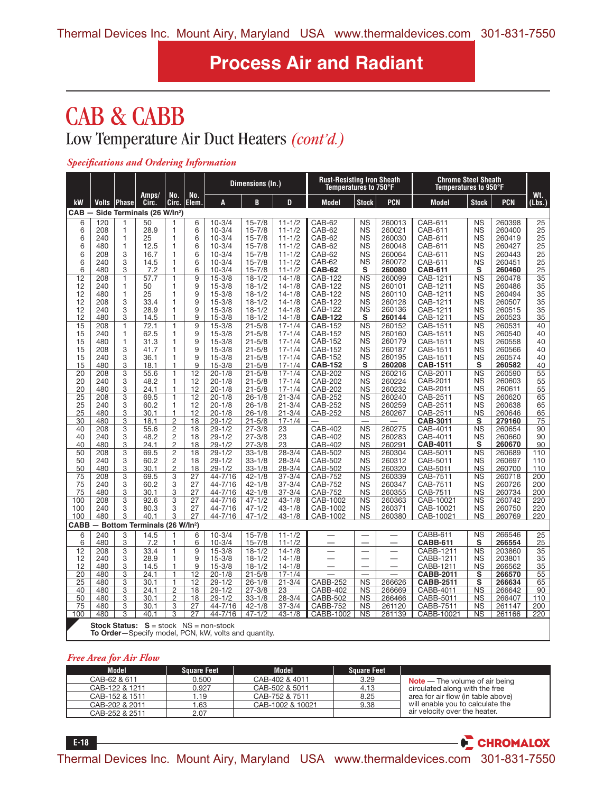## CAB & CABB Low Temperature Air Duct Heaters *(cont'd.)*

#### *Specifications and Ordering Information*

|             |            |               |                                            |                                  |                    |                                                                                                           | Dimensions (In.)         |                          | <b>Rust-Resisting Iron Sheath</b><br>Temperatures to 750°F |                        |                          | <b>Chrome Steel Sheath</b><br>Temperatures to 950°F |                         |                  |               |
|-------------|------------|---------------|--------------------------------------------|----------------------------------|--------------------|-----------------------------------------------------------------------------------------------------------|--------------------------|--------------------------|------------------------------------------------------------|------------------------|--------------------------|-----------------------------------------------------|-------------------------|------------------|---------------|
| kW          |            | Volts   Phase | Amps/<br>Circ.                             | No.<br>Circ.                     | No.<br><b>Elem</b> | A                                                                                                         | B                        | D                        | <b>Model</b>                                               | <b>Stock</b>           | <b>PCN</b>               | <b>Model</b>                                        | <b>Stock</b>            | <b>PCN</b>       | Wt.<br>(Lbs.) |
| <b>CAB</b>  |            |               | Side Terminals (26 W/In <sup>2</sup> )     |                                  |                    |                                                                                                           |                          |                          |                                                            |                        |                          |                                                     |                         |                  |               |
| 6           | 120        | 1             | 50                                         | 1                                | 6                  | $10 - 3/4$                                                                                                | $15 - 7/8$               | $11 - 1/2$               | CAB-62                                                     | <b>NS</b>              | 260013                   | CAB-611                                             | <b>NS</b>               | 260398           | 25            |
| 6           | 208        | 1             | 28.9                                       | 1                                | 6                  | $10 - 3/4$                                                                                                | $15 - 7/8$               | $11 - 1/2$               | CAB-62                                                     | <b>NS</b>              | 260021                   | CAB-611                                             | <b>NS</b>               | 260400           | 25            |
| 6           | 240        | 1             | 25                                         | $\mathbf{1}$                     | 6                  | $10 - 3/4$                                                                                                | $15 - 7/8$               | $11 - 1/2$               | CAB-62                                                     | <b>NS</b>              | 260030                   | CAB-611                                             | <b>NS</b>               | 260419           | 25            |
| 6           | 480        | 1             | 12.5                                       | $\mathbf{1}$                     | 6                  | $10 - 3/4$                                                                                                | $15 - 7/8$               | $11 - 1/2$               | CAB-62                                                     | <b>NS</b>              | 260048                   | CAB-611                                             | <b>NS</b>               | 260427           | 25            |
| 6           | 208        | 3             | 16.7                                       | 1                                | 6                  | $10 - 3/4$                                                                                                | $15 - 7/8$               | $11 - 1/2$               | CAB-62                                                     | <b>NS</b>              | 260064                   | CAB-611                                             | <b>NS</b>               | 260443           | 25            |
| 6<br>6      | 240<br>480 | 3<br>3        | 14.5                                       | 1<br>$\mathbf{1}$                | 6<br>6             | $10 - 3/4$<br>$10 - 3/4$                                                                                  | $15 - 7/8$               | $11 - 1/2$<br>$11 - 1/2$ | CAB-62                                                     | <b>NS</b><br>s         | 260072                   | CAB-611                                             | <b>NS</b><br>S          | 260451           | 25            |
| 12          | 208        | $\mathbf{1}$  | 7.2<br>57.7                                | $\mathbf{1}$                     | 9                  | $15 - 3/8$                                                                                                | $15 - 7/8$<br>$18 - 1/2$ | $14 - 1/8$               | <b>CAB-62</b><br>CAB-122                                   | <b>NS</b>              | 260080<br>260099         | <b>CAB-611</b><br>CAB-1211                          | <b>NS</b>               | 260460<br>260478 | 25<br>35      |
| 12          | 240        | 1             | 50                                         | $\mathbf{1}$                     | 9                  | $15 - 3/8$                                                                                                | $18 - 1/2$               | $14 - 1/8$               | CAB-122                                                    | <b>NS</b>              | 260101                   | CAB-1211                                            | <b>NS</b>               | 260486           | 35            |
| 12          | 480        | 1             | 25                                         | $\mathbf{1}$                     | 9                  | $15 - 3/8$                                                                                                | $18 - 1/2$               | $14 - 1/8$               | <b>CAB-122</b>                                             | <b>NS</b>              | 260110                   | CAB-1211                                            | <b>NS</b>               | 260494           | 35            |
| 12          | 208        | 3             | 33.4                                       | $\mathbf{1}$                     | 9                  | $15 - 3/8$                                                                                                | $18 - 1/2$               | $14 - 1/8$               | CAB-122                                                    | ΝS                     | 260128                   | CAB-1211                                            | <b>NS</b>               | 260507           | 35            |
| 12          | 240        | 3             | 28.9                                       | 1                                | 9                  | $15 - 3/8$                                                                                                | $18 - 1/2$               | $14 - 1/8$               | CAB-122                                                    | <b>NS</b>              | 260136                   | CAB-1211                                            | <b>NS</b>               | 260515           | 35            |
| 12          | 480        | 3             | 14.5                                       | $\mathbf{1}$                     | 9                  | $15 - 3/8$                                                                                                | $18 - 1/2$               | $14 - 1/8$               | <b>CAB-122</b>                                             | s                      | 260144                   | CAB-1211                                            | <b>NS</b>               | 260523           | 35            |
| 15          | 208        | 1             | 72.1                                       | $\mathbf{1}$                     | 9                  | $15 - 3/8$                                                                                                | $21 - 5/8$               | $17 - 1/4$               | CAB-152                                                    | <b>NS</b>              | 260152                   | CAB-1511                                            | <b>NS</b>               | 260531           | 40            |
| 15          | 240        | 1             | 62.5                                       | 1                                | 9                  | $15 - 3/8$                                                                                                | $21 - 5/8$               | $17 - 1/4$               | <b>CAB-152</b>                                             | <b>NS</b>              | 260160                   | CAB-1511                                            | <b>NS</b>               | 260540           | 40            |
| 15          | 480        | 1             | 31.3                                       | 1                                | 9                  | $15 - 3/8$                                                                                                | $21 - 5/8$               | $17 - 1/4$               | CAB-152                                                    | <b>NS</b>              | 260179                   | CAB-1511                                            | <b>NS</b>               | 260558           | 40            |
| 15          | 208        | 3             | 41.7                                       | $\mathbf{1}$                     | 9                  | $15 - 3/8$                                                                                                | $21 - 5/8$               | $17 - 1/4$               | <b>CAB-152</b>                                             | <b>NS</b>              | 260187                   | CAB-1511                                            | <b>NS</b>               | 260566           | 40            |
| 15          | 240        | 3             | 36.1                                       | 1                                | 9                  | $15 - 3/8$                                                                                                | $21 - 5/8$               | $17 - 1/4$               | CAB-152                                                    | <b>NS</b>              | 260195                   | CAB-1511                                            | <b>NS</b>               | 260574           | 40            |
| 15          | 480        | 3             | 18.1                                       | 1                                | 9                  | $15 - 3/8$                                                                                                | $21 - 5/8$               | $17 - 1/4$               | <b>CAB-152</b>                                             | S                      | 260208                   | <b>CAB-1511</b>                                     | S                       | 260582           | 40            |
| 20          | 208        | 3             | 55.6                                       | 1                                | $\overline{12}$    | $20 - 1/8$                                                                                                | $21 - 5/8$               | $17 - 1/4$               | <b>CAB-202</b>                                             | <b>NS</b>              | 260216                   | CAB-2011                                            | <b>NS</b>               | 260590           | 55            |
| 20          | 240        | 3             | 48.2                                       | 1                                | 12                 | $20 - 1/8$                                                                                                | $21 - 5/8$               | $17 - 1/4$               | <b>CAB-202</b>                                             | <b>NS</b>              | 260224                   | CAB-2011                                            | <b>NS</b>               | 260603           | 55            |
| 20          | 480        | 3             | 24.1                                       | 1                                | 12                 | $20 - 1/8$                                                                                                | $21 - 5/8$               | $17 - 1/4$               | <b>CAB-202</b>                                             | <b>NS</b>              | 260232                   | CAB-2011                                            | <b>NS</b>               | 260611           | 55            |
| 25          | 208        | 3             | 69.5                                       | $\mathbf{1}$                     | 12                 | $20 - 1/8$                                                                                                | $26 - 1/8$               | $21 - 3/4$               | CAB-252                                                    | <b>NS</b>              | 260240                   | CAB-2511                                            | <b>NS</b>               | 260620           | 65            |
| 25          | 240        | 3             | 60.2                                       | $\mathbf{1}$                     | 12                 | $20 - 1/8$                                                                                                | $26 - 1/8$               | $21 - 3/4$               | CAB-252                                                    | <b>NS</b>              | 260259                   | CAB-2511                                            | <b>NS</b>               | 260638           | 65            |
| 25          | 480        | 3             | 30.1                                       | 1                                | 12                 | $20 - 1/8$                                                                                                | $26 - 1/8$               | $21 - 3/4$               | CAB-252                                                    | <b>NS</b>              | 260267                   | CAB-2511                                            | <b>NS</b>               | 260646           | 65            |
| 30          | 480        | 3             | 18.1                                       | $\overline{2}$                   | $\overline{18}$    | $29 - 1/2$                                                                                                | $21 - 5/8$               | $17 - 1/4$               |                                                            |                        |                          | <b>CAB-3011</b>                                     | $\overline{\mathsf{s}}$ | 279160           | 75            |
| 40          | 208        | 3             | 55.6                                       | $\overline{2}$                   | 18                 | $29 - 1/2$                                                                                                | $27 - 3/8$               | 23                       | CAB-402                                                    | <b>NS</b>              | 260275                   | CAB-4011                                            | <b>NS</b>               | 260654           | 90            |
| 40          | 240        | 3             | 48.2                                       | $\overline{2}$                   | 18                 | $29 - 1/2$                                                                                                | $27 - 3/8$               | 23                       | <b>CAB-402</b>                                             | <b>NS</b>              | 260283                   | CAB-4011                                            | <b>NS</b>               | 260660           | 90            |
| 40          | 480        | 3             | 24.1                                       | $\overline{c}$                   | 18                 | $29 - 1/2$                                                                                                | $27 - 3/8$               | 23                       | CAB-402                                                    | <b>NS</b>              | 260291                   | <b>CAB-4011</b>                                     | S                       | 260670           | 90            |
| 50          | 208        | 3             | 69.5<br>60.2                               | $\overline{2}$<br>$\overline{2}$ | 18<br>18           | $29 - 1/2$<br>$29 - 1/2$                                                                                  | $33 - 1/8$               | $28 - 3/4$<br>$28 - 3/4$ | CAB-502                                                    | <b>NS</b>              | 260304                   | CAB-5011                                            | <b>NS</b>               | 260689           | 110           |
| 50          | 240<br>480 | 3<br>3        |                                            | $\overline{2}$                   | 18                 |                                                                                                           | $33 - 1/8$               |                          | CAB-502                                                    | <b>NS</b>              | 260312                   | CAB-5011                                            | <b>NS</b><br><b>NS</b>  | 260697           | 110           |
| 50          | 208        | 3             | 30.1<br>69.5                               | 3                                | 27                 | $29 - 1/2$<br>44-7/16                                                                                     | $33 - 1/8$<br>$42 - 1/8$ | $28 - 3/4$<br>$37 - 3/4$ | CAB-502                                                    | <b>NS</b><br><b>NS</b> | 260320                   | CAB-5011                                            | <b>NS</b>               | 260700           | 110<br>200    |
| 75<br>75    | 240        | 3             | 60.2                                       | 3                                | 27                 | 44-7/16                                                                                                   | $42 - 1/8$               | $37 - 3/4$               | <b>CAB-752</b><br><b>CAB-752</b>                           | <b>NS</b>              | 260339<br>260347         | CAB-7511<br>CAB-7511                                | <b>NS</b>               | 260718<br>260726 | 200           |
| 75          | 480        | 3             | 30.1                                       | 3                                | 27                 | 44-7/16                                                                                                   | $42 - 1/8$               | $37 - 3/4$               | <b>CAB-752</b>                                             | <b>NS</b>              | 260355                   | CAB-7511                                            | <b>NS</b>               | 260734           | 200           |
| 100         | 208        | 3             | 92.6                                       | 3                                | 27                 | 44-7/16                                                                                                   | $47 - 1/2$               | $43 - 1/8$               | CAB-1002                                                   | <b>NS</b>              | 260363                   | CAB-10021                                           | <b>NS</b>               | 260742           | 220           |
| 100         | 240        | 3             | 80.3                                       | 3                                | 27                 | 44-7/16                                                                                                   | $47 - 1/2$               | $43 - 1/8$               | CAB-1002                                                   | <b>NS</b>              | 260371                   | CAB-10021                                           | <b>NS</b>               | 260750           | 220           |
| 100         | 480        | 3             | 40.1                                       | 3                                | 27                 | 44-7/16                                                                                                   | $47 - 1/2$               | $43 - 1/8$               | CAB-1002                                                   | <b>NS</b>              | 260380                   | CAB-10021                                           | <b>NS</b>               | 260769           | 220           |
| <b>CABB</b> |            |               | - Bottom Terminals (26 W/In <sup>2</sup> ) |                                  |                    |                                                                                                           |                          |                          |                                                            |                        |                          |                                                     |                         |                  |               |
| 6           | 240        | 3             | 14.5                                       | 1                                | 6                  | $10 - 3/4$                                                                                                | $15 - 7/8$               | $11 - 1/2$               |                                                            |                        |                          | CABB-611                                            | <b>NS</b>               | 266546           | 25            |
| 6           | 480        | 3             | 7.2                                        | 1                                | 6                  | $10 - 3/4$                                                                                                | $15 - 7/8$               | $11 - 1/2$               |                                                            |                        |                          | <b>CABB-611</b>                                     | s                       | 266554           | 25            |
| 12          | 208        | 3             | 33.4                                       | $\overline{1}$                   | 9                  | $15 - 3/8$                                                                                                | $18 - 1/2$               | $14 - 1/8$               |                                                            |                        |                          | CABB-1211                                           | <b>NS</b>               | 203860           | 35            |
| 12          | 240        | 3             | 28.9                                       | 1                                | 9                  | $15 - 3/8$                                                                                                | $18 - 1/2$               | $14 - 1/8$               |                                                            | —                      | $\overline{\phantom{0}}$ | CABB-1211                                           | <b>NS</b>               | 203801           | 35            |
| 12          | 480        | 3             | 14.5                                       | 1                                | 9                  | $15 - 3/8$                                                                                                | $18 - 1/2$               | $14 - 1/8$               |                                                            |                        |                          | CABB-1211                                           | <b>NS</b>               | 266562           | 35            |
| 20          | 480        | 3             | 24.1                                       | $\mathbf{1}$                     | 12                 | $20 - 1/8$                                                                                                | $21 - 5/8$               | $17 - 1/4$               |                                                            |                        |                          | <b>CABB-2011</b>                                    | s                       | 266570           | 55            |
| 25          | 480        | 3             | 30.1                                       | 1                                | 12                 | $29 - 1/2$                                                                                                | $26 - 1/8$               | $21 - 3/4$               | CABB-252                                                   | <b>NS</b>              | 266626                   | <b>CABB-2511</b>                                    | s                       | 266634           | 65            |
| 40          | 480        | 3             | 24.1                                       | $\overline{2}$                   | 18                 | $29 - 1/2$                                                                                                | $27 - 3/8$               | 23                       | CABB-402                                                   | <b>NS</b>              | 266669                   | CABB-4011                                           | <b>NS</b>               | 266642           | 90            |
| 50          | 480        | 3             | 30.1                                       | $\overline{2}$                   | 18                 | $29 - 1/2$                                                                                                | $33 - 1/8$               | $28 - 3/4$               | <b>CABB-502</b>                                            | <b>NS</b>              | 266466                   | CABB-5011                                           | <b>NS</b>               | 266407           | 110           |
| 75          | 480        | 3             | 30.1                                       | 3                                | 27                 | 44-7/16                                                                                                   | $42 - 1/8$               | $37 - 3/4$               | <b>CABB-752</b>                                            | NS                     | 261120                   | CABB-7511                                           | <b>NS</b>               | 261147           | 200           |
| 100         | 480        | 3             | 40.1                                       | 3                                | $\overline{27}$    | 44-7/16                                                                                                   | $47 - 1/2$               | $43 - 1/8$               | CABB-1002                                                  | <b>NS</b>              | 261139                   | CABB-10021                                          | $\overline{\text{NS}}$  | 261166           | 220           |
|             |            |               |                                            |                                  |                    | <b>Stock Status:</b> $S = stock \tNS = non-stock$<br>To Order-Specify model, PCN, kW, volts and quantity. |                          |                          |                                                            |                        |                          |                                                     |                         |                  |               |

### *Free Area for Air Flow*

| <b>Model</b>   | <b>Square Feet</b> | Model            | <b>Square Feet</b> |                                    |
|----------------|--------------------|------------------|--------------------|------------------------------------|
| CAB-62 & 611   | 0.500              | CAB-402 & 4011   | 3.29               | $Note$ – The volume of air being   |
| CAB-122 & 1211 | 0.927              | CAB-502 & 5011   | 4.13               | circulated along with the free     |
| CAB-152 & 1511 | 1.19               | CAB-752 & 7511   | 8.25               | area for air flow (in table above) |
| CAB-202 & 2011 | 1.63               | CAB-1002 & 10021 | 9.38               | will enable you to calculate the   |
| CAB-252 & 2511 | 2.07               |                  |                    | air velocity over the heater.      |

**E-18**

CHROMALOX